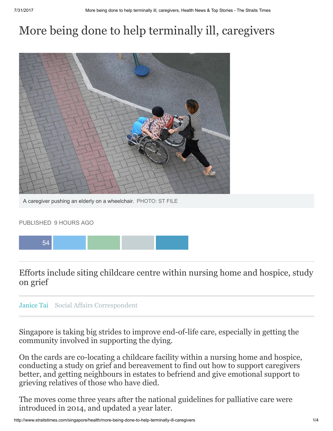## More being done to help terminally ill, caregivers



A caregiver pushing an elderly on a wheelchair. PHOTO: ST FILE

## PUBLISHED 9 HOURS AGO



Efforts include siting childcare centre within nursing home and hospice, study on grief



Singapore is taking big strides to improve end-of-life care, especially in getting the community involved in supporting the dying.

On the cards are co-locating a childcare facility within a nursing home and hospice, conducting a study on grief and bereavement to find out how to support caregivers better, and getting neighbours in estates to befriend and give emotional support to grieving relatives of those who have died.

The moves come three years after the national guidelines for palliative care were introduced in 2014, and updated a year later.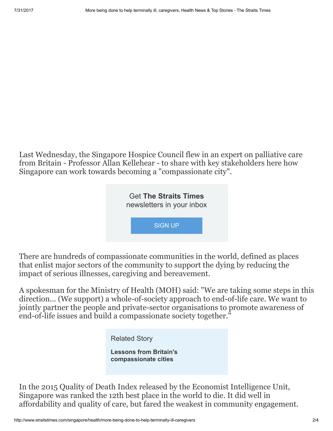Last Wednesday, the Singapore Hospice Council flew in an expert on palliative care from Britain - Professor Allan Kellehear - to share with key stakeholders here how Singapore can work towards becoming a "compassionate city".



There are hundreds of compassionate communities in the world, defined as places that enlist major sectors of the community to support the dying by reducing the impact of serious illnesses, caregiving and bereavement.

A spokesman for the Ministry of Health (MOH) said: "We are taking some steps in this direction... (We support) a whole-of-society approach to end-of-life care. We want to jointly partner the people and private-sector organisations to promote awareness of end-of-life issues and build a compassionate society together."

Related Story

Lessons from Britain's [compassionate](http://www.straitstimes.com/singapore/health/lessons-from-britains-compassionate-cities) cities

In the 2015 Quality of Death Index released by the Economist Intelligence Unit, Singapore was ranked the 12th best place in the world to die. It did well in affordability and quality of care, but fared the weakest in community engagement.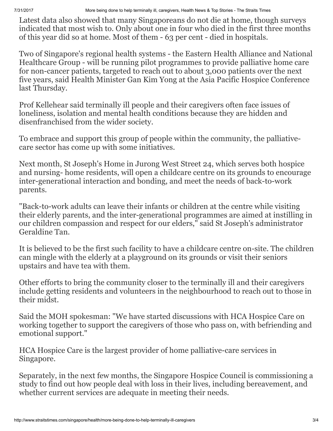7/31/2017 More being done to help terminally ill, caregivers, Health News & Top Stories - The Straits Times

Latest data also showed that many [Singaporeans](http://www.straitstimes.com/singapore/health/lessons-from-britains-compassionate-cities) do not die at home, though surveys indicated that most wish to. Only about one in four who died in the first three months of this year did so at home. Most of them - 63 per cent - died in hospitals.

Two of Singapore's regional health systems - the Eastern Health Alliance and National Healthcare Group - will be running pilot programmes to provide palliative home care for non-cancer patients, targeted to reach out to about 3,000 patients over the next five years, said Health Minister Gan Kim Yong at the Asia Pacific Hospice Conference last Thursday.

Prof Kellehear said terminally ill people and their caregivers often face issues of loneliness, isolation and mental health conditions because they are hidden and disenfranchised from the wider society.

To embrace and support this group of people within the community, the palliativecare sector has come up with some initiatives.

Next month, St Joseph's Home in Jurong West Street 24, which serves both hospice and nursing- home residents, will open a childcare centre on its grounds to encourage inter-generational interaction and bonding, and meet the needs of back-to-work parents.

"Back-to-work adults can leave their infants or children at the centre while visiting their elderly parents, and the inter-generational programmes are aimed at instilling in our children compassion and respect for our elders," said St Joseph's administrator Geraldine Tan.

It is believed to be the first such facility to have a childcare centre on-site. The children can mingle with the elderly at a playground on its grounds or visit their seniors upstairs and have tea with them.

Other efforts to bring the community closer to the terminally ill and their caregivers include getting residents and volunteers in the neighbourhood to reach out to those in their midst.

Said the MOH spokesman: "We have started discussions with HCA Hospice Care on working together to support the caregivers of those who pass on, with befriending and emotional support."

HCA Hospice Care is the largest provider of home palliative-care services in Singapore.

Separately, in the next few months, the Singapore Hospice Council is commissioning a study to find out how people deal with loss in their lives, including bereavement, and whether current services are adequate in meeting their needs.